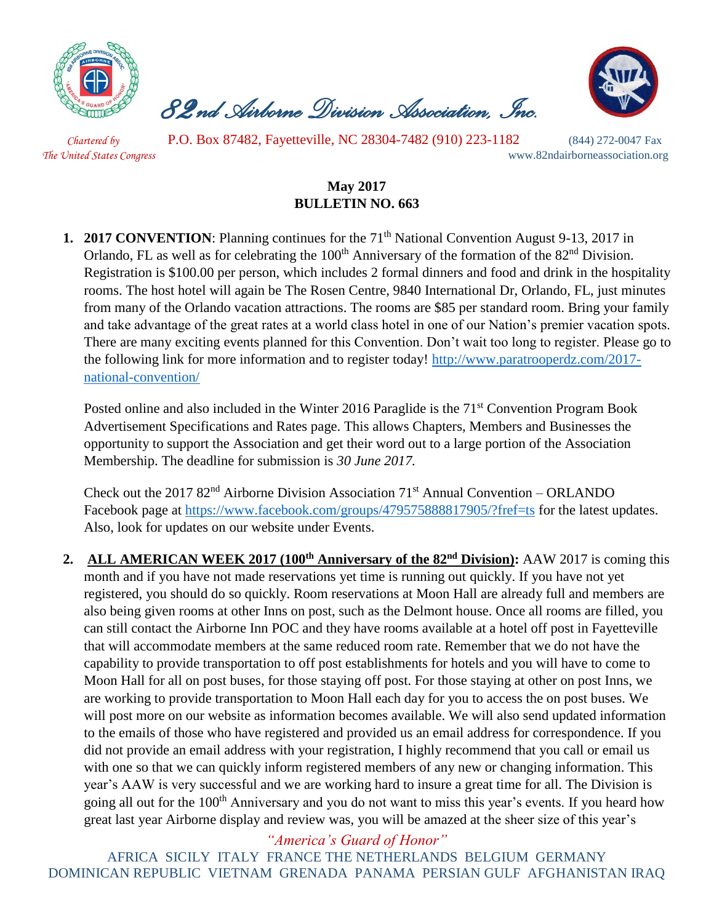

 *82nd Airborne Division Association, Inc.* 



 *Chartered by* P.O. Box 87482, Fayetteville, NC 28304-7482 (910) 223-1182 (844) 272-0047 Fax *The United States Congress* www.82ndairborneassociation.org

# **May 2017 BULLETIN NO. 663**

**1. 2017 CONVENTION**: Planning continues for the 71<sup>th</sup> National Convention August 9-13, 2017 in Orlando, FL as well as for celebrating the 100<sup>th</sup> Anniversary of the formation of the 82<sup>nd</sup> Division. Registration is \$100.00 per person, which includes 2 formal dinners and food and drink in the hospitality rooms. The host hotel will again be The Rosen Centre, 9840 International Dr, Orlando, FL, just minutes from many of the Orlando vacation attractions. The rooms are \$85 per standard room. Bring your family and take advantage of the great rates at a world class hotel in one of our Nation's premier vacation spots. There are many exciting events planned for this Convention. Don't wait too long to register. Please go to the following link for more information and to register today! [http://www.paratrooperdz.com/2017](http://www.paratrooperdz.com/2017-national-convention/) [national-convention/](http://www.paratrooperdz.com/2017-national-convention/)

Posted online and also included in the Winter 2016 Paraglide is the 71<sup>st</sup> Convention Program Book Advertisement Specifications and Rates page. This allows Chapters, Members and Businesses the opportunity to support the Association and get their word out to a large portion of the Association Membership. The deadline for submission is *30 June 2017.*

Check out the 2017  $82<sup>nd</sup>$  Airborne Division Association 71<sup>st</sup> Annual Convention – ORLANDO Facebook page at<https://www.facebook.com/groups/479575888817905/?fref=ts> for the latest updates. Also, look for updates on our website under Events.

2. **ALL AMERICAN WEEK 2017 (100<sup>th</sup> Anniversary of the 82<sup>nd</sup> Division):** AAW 2017 is coming this month and if you have not made reservations yet time is running out quickly. If you have not yet registered, you should do so quickly. Room reservations at Moon Hall are already full and members are also being given rooms at other Inns on post, such as the Delmont house. Once all rooms are filled, you can still contact the Airborne Inn POC and they have rooms available at a hotel off post in Fayetteville that will accommodate members at the same reduced room rate. Remember that we do not have the capability to provide transportation to off post establishments for hotels and you will have to come to Moon Hall for all on post buses, for those staying off post. For those staying at other on post Inns, we are working to provide transportation to Moon Hall each day for you to access the on post buses. We will post more on our website as information becomes available. We will also send updated information to the emails of those who have registered and provided us an email address for correspondence. If you did not provide an email address with your registration, I highly recommend that you call or email us with one so that we can quickly inform registered members of any new or changing information. This year's AAW is very successful and we are working hard to insure a great time for all. The Division is going all out for the 100<sup>th</sup> Anniversary and you do not want to miss this year's events. If you heard how great last year Airborne display and review was, you will be amazed at the sheer size of this year's

*"America's Guard of Honor"*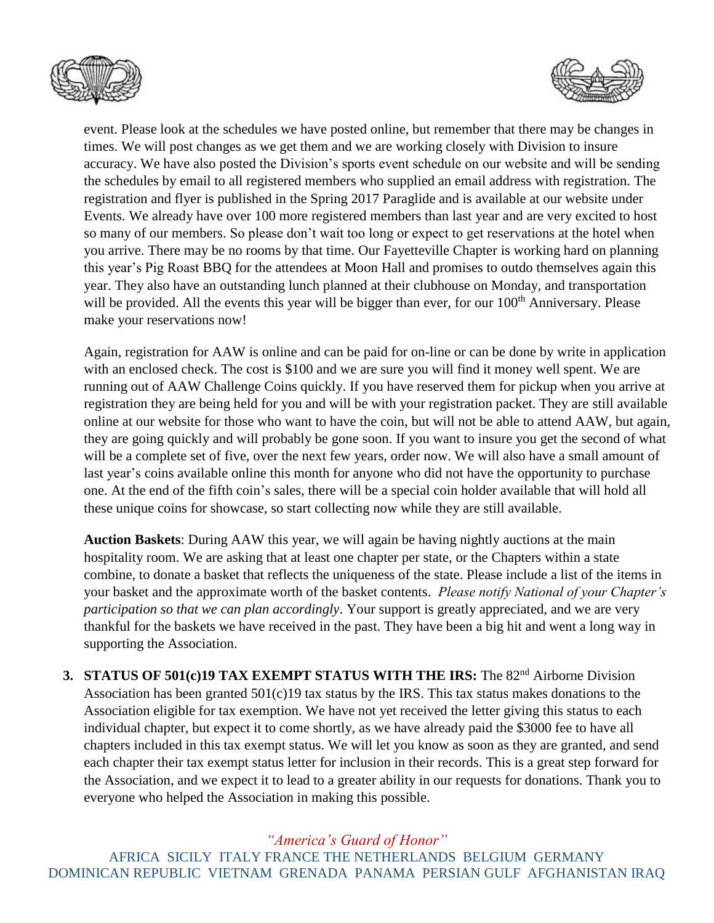



event. Please look at the schedules we have posted online, but remember that there may be changes in times. We will post changes as we get them and we are working closely with Division to insure accuracy. We have also posted the Division's sports event schedule on our website and will be sending the schedules by email to all registered members who supplied an email address with registration. The registration and flyer is published in the Spring 2017 Paraglide and is available at our website under Events. We already have over 100 more registered members than last year and are very excited to host so many of our members. So please don't wait too long or expect to get reservations at the hotel when you arrive. There may be no rooms by that time. Our Fayetteville Chapter is working hard on planning this year's Pig Roast BBQ for the attendees at Moon Hall and promises to outdo themselves again this year. They also have an outstanding lunch planned at their clubhouse on Monday, and transportation will be provided. All the events this year will be bigger than ever, for our 100<sup>th</sup> Anniversary. Please make your reservations now!

Again, registration for AAW is online and can be paid for on-line or can be done by write in application with an enclosed check. The cost is \$100 and we are sure you will find it money well spent. We are running out of AAW Challenge Coins quickly. If you have reserved them for pickup when you arrive at registration they are being held for you and will be with your registration packet. They are still available online at our website for those who want to have the coin, but will not be able to attend AAW, but again, they are going quickly and will probably be gone soon. If you want to insure you get the second of what will be a complete set of five, over the next few years, order now. We will also have a small amount of last year's coins available online this month for anyone who did not have the opportunity to purchase one. At the end of the fifth coin's sales, there will be a special coin holder available that will hold all these unique coins for showcase, so start collecting now while they are still available.

**Auction Baskets**: During AAW this year, we will again be having nightly auctions at the main hospitality room. We are asking that at least one chapter per state, or the Chapters within a state combine, to donate a basket that reflects the uniqueness of the state. Please include a list of the items in your basket and the approximate worth of the basket contents. *Please notify National of your Chapter's participation so that we can plan accordingly*. Your support is greatly appreciated, and we are very thankful for the baskets we have received in the past. They have been a big hit and went a long way in supporting the Association.

**3. STATUS OF 501(c)19 TAX EXEMPT STATUS WITH THE IRS:** The 82<sup>nd</sup> Airborne Division Association has been granted  $501(c)19$  tax status by the IRS. This tax status makes donations to the Association eligible for tax exemption. We have not yet received the letter giving this status to each individual chapter, but expect it to come shortly, as we have already paid the \$3000 fee to have all chapters included in this tax exempt status. We will let you know as soon as they are granted, and send each chapter their tax exempt status letter for inclusion in their records. This is a great step forward for the Association, and we expect it to lead to a greater ability in our requests for donations. Thank you to everyone who helped the Association in making this possible.

## *"America's Guard of Honor"*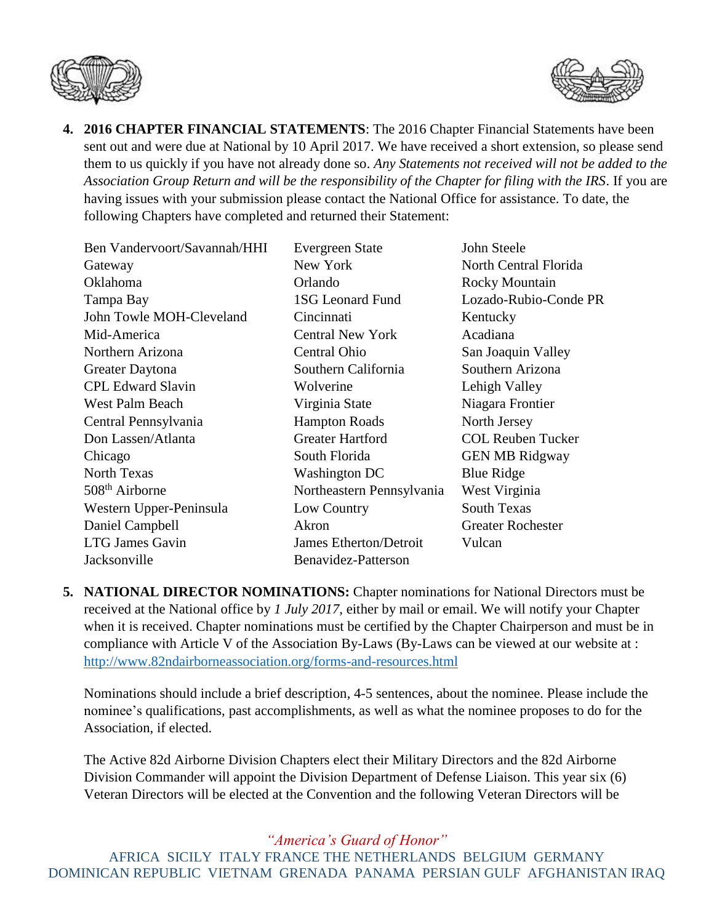



**4. 2016 CHAPTER FINANCIAL STATEMENTS**: The 2016 Chapter Financial Statements have been sent out and were due at National by 10 April 2017. We have received a short extension, so please send them to us quickly if you have not already done so. *Any Statements not received will not be added to the Association Group Return and will be the responsibility of the Chapter for filing with the IRS*. If you are having issues with your submission please contact the National Office for assistance. To date, the following Chapters have completed and returned their Statement:

| Ben Vandervoort/Savannah/HHI | Evergreen State               | John St       |
|------------------------------|-------------------------------|---------------|
| Gateway                      | New York                      | North (       |
| Oklahoma                     | Orlando                       | Rocky         |
| Tampa Bay                    | <b>1SG Leonard Fund</b>       | Lozadc        |
| John Towle MOH-Cleveland     | Cincinnati                    | Kentuc        |
| Mid-America                  | <b>Central New York</b>       | Acadia        |
| Northern Arizona             | Central Ohio                  | San Joa       |
| Greater Daytona              | Southern California           | <b>Southe</b> |
| <b>CPL Edward Slavin</b>     | Wolverine                     | Lehigh        |
| West Palm Beach              | Virginia State                | Niagara       |
| Central Pennsylvania         | <b>Hampton Roads</b>          | North J       |
| Don Lassen/Atlanta           | <b>Greater Hartford</b>       | <b>COLR</b>   |
| Chicago                      | South Florida                 | <b>GEN M</b>  |
| <b>North Texas</b>           | <b>Washington DC</b>          | Blue $R$      |
| 508 <sup>th</sup> Airborne   | Northeastern Pennsylvania     | West V        |
| Western Upper-Peninsula      | Low Country                   | South 7       |
| Daniel Campbell              | Akron                         | Greater       |
| <b>LTG James Gavin</b>       | <b>James Etherton/Detroit</b> | Vulcan        |
| Jacksonville                 | Benavidez-Patterson           |               |
|                              |                               |               |

North Central Florida Rocky Mountain Lozado-Rubio-Conde PR Kentucky Acadiana San Joaquin Valley Southern Arizona Lehigh Valley Niagara Frontier North Jersey COL Reuben Tucker **GEN MB Ridgway** Blue Ridge West Virginia South Texas Greater Rochester

John Steele

**5. NATIONAL DIRECTOR NOMINATIONS:** Chapter nominations for National Directors must be received at the National office by *1 July 2017*, either by mail or email. We will notify your Chapter when it is received. Chapter nominations must be certified by the Chapter Chairperson and must be in compliance with Article V of the Association By-Laws (By-Laws can be viewed at our website at : <http://www.82ndairborneassociation.org/forms-and-resources.html>

Nominations should include a brief description, 4-5 sentences, about the nominee. Please include the nominee's qualifications, past accomplishments, as well as what the nominee proposes to do for the Association, if elected.

The Active 82d Airborne Division Chapters elect their Military Directors and the 82d Airborne Division Commander will appoint the Division Department of Defense Liaison. This year six (6) Veteran Directors will be elected at the Convention and the following Veteran Directors will be

*"America's Guard of Honor"*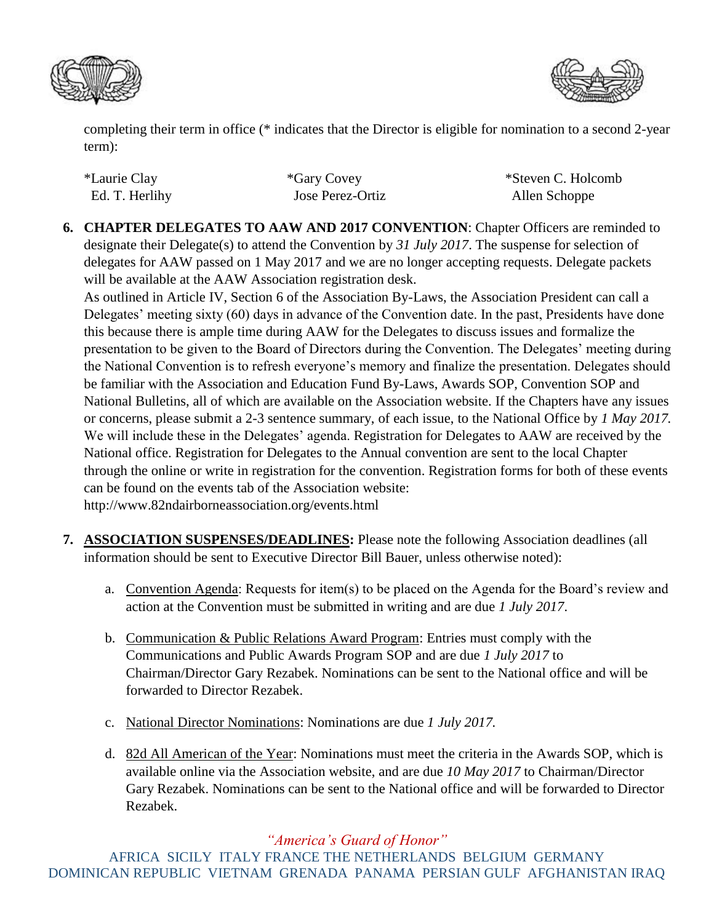



completing their term in office (\* indicates that the Director is eligible for nomination to a second 2-year term):

| *Laurie Clay   | *Gary Covey      | *Steven C. Holcomb |
|----------------|------------------|--------------------|
| Ed. T. Herlihy | Jose Perez-Ortiz | Allen Schoppe      |

**6. CHAPTER DELEGATES TO AAW AND 2017 CONVENTION**: Chapter Officers are reminded to designate their Delegate(s) to attend the Convention by *31 July 2017*. The suspense for selection of delegates for AAW passed on 1 May 2017 and we are no longer accepting requests. Delegate packets will be available at the AAW Association registration desk.

As outlined in Article IV, Section 6 of the Association By-Laws, the Association President can call a Delegates' meeting sixty (60) days in advance of the Convention date. In the past, Presidents have done this because there is ample time during AAW for the Delegates to discuss issues and formalize the presentation to be given to the Board of Directors during the Convention. The Delegates' meeting during the National Convention is to refresh everyone's memory and finalize the presentation. Delegates should be familiar with the Association and Education Fund By-Laws, Awards SOP, Convention SOP and National Bulletins, all of which are available on the Association website. If the Chapters have any issues or concerns, please submit a 2-3 sentence summary, of each issue, to the National Office by *1 May 2017.* We will include these in the Delegates' agenda. Registration for Delegates to AAW are received by the National office. Registration for Delegates to the Annual convention are sent to the local Chapter through the online or write in registration for the convention. Registration forms for both of these events can be found on the events tab of the Association website: http://www.82ndairborneassociation.org/events.html

- **7. ASSOCIATION SUSPENSES/DEADLINES:** Please note the following Association deadlines (all information should be sent to Executive Director Bill Bauer, unless otherwise noted):
	- a. Convention Agenda: Requests for item(s) to be placed on the Agenda for the Board's review and action at the Convention must be submitted in writing and are due *1 July 2017*.
	- b. Communication & Public Relations Award Program: Entries must comply with the Communications and Public Awards Program SOP and are due *1 July 2017* to Chairman/Director Gary Rezabek. Nominations can be sent to the National office and will be forwarded to Director Rezabek.
	- c. National Director Nominations: Nominations are due *1 July 2017.*
	- d. 82d All American of the Year: Nominations must meet the criteria in the Awards SOP, which is available online via the Association website, and are due *10 May 2017* to Chairman/Director Gary Rezabek. Nominations can be sent to the National office and will be forwarded to Director Rezabek.

## *"America's Guard of Honor"*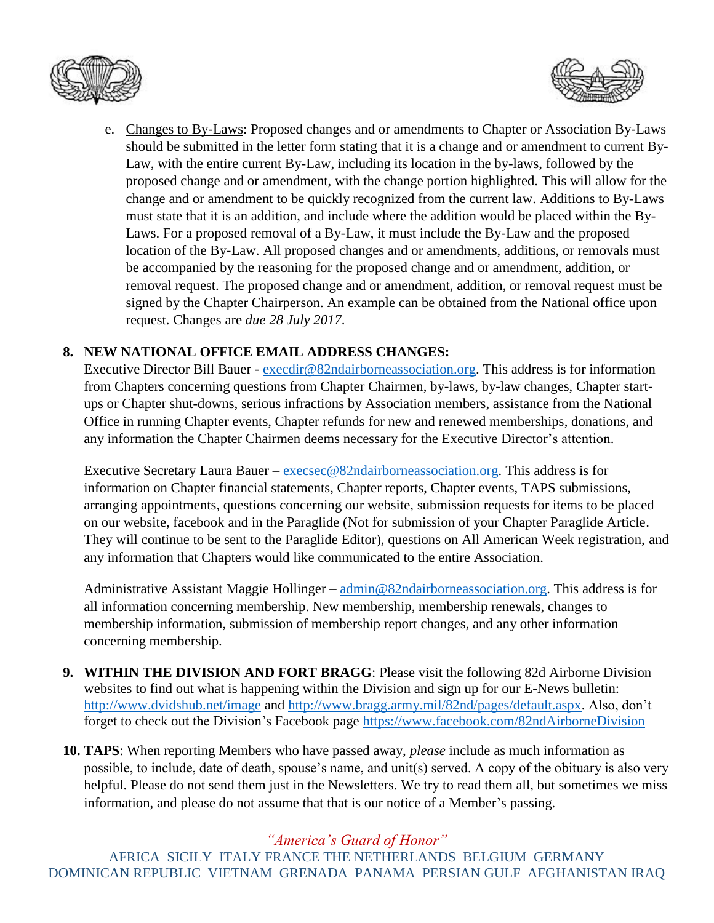



e. Changes to By-Laws: Proposed changes and or amendments to Chapter or Association By-Laws should be submitted in the letter form stating that it is a change and or amendment to current By-Law, with the entire current By-Law, including its location in the by-laws, followed by the proposed change and or amendment, with the change portion highlighted. This will allow for the change and or amendment to be quickly recognized from the current law. Additions to By-Laws must state that it is an addition, and include where the addition would be placed within the By-Laws. For a proposed removal of a By-Law, it must include the By-Law and the proposed location of the By-Law. All proposed changes and or amendments, additions, or removals must be accompanied by the reasoning for the proposed change and or amendment, addition, or removal request. The proposed change and or amendment, addition, or removal request must be signed by the Chapter Chairperson. An example can be obtained from the National office upon request. Changes are *due 28 July 2017*.

#### **8. NEW NATIONAL OFFICE EMAIL ADDRESS CHANGES:**

Executive Director Bill Bauer - [execdir@82ndairborneassociation.org.](mailto:execdir@82ndairborneassociation.org) This address is for information from Chapters concerning questions from Chapter Chairmen, by-laws, by-law changes, Chapter startups or Chapter shut-downs, serious infractions by Association members, assistance from the National Office in running Chapter events, Chapter refunds for new and renewed memberships, donations, and any information the Chapter Chairmen deems necessary for the Executive Director's attention.

Executive Secretary Laura Bauer – [execsec@82ndairborneassociation.org.](mailto:execsec@82ndairborneassociation.org) This address is for information on Chapter financial statements, Chapter reports, Chapter events, TAPS submissions, arranging appointments, questions concerning our website, submission requests for items to be placed on our website, facebook and in the Paraglide (Not for submission of your Chapter Paraglide Article. They will continue to be sent to the Paraglide Editor), questions on All American Week registration, and any information that Chapters would like communicated to the entire Association.

Administrative Assistant Maggie Hollinger – [admin@82ndairborneassociation.org.](mailto:admin@82ndairborneassociation.org) This address is for all information concerning membership. New membership, membership renewals, changes to membership information, submission of membership report changes, and any other information concerning membership.

- **9. WITHIN THE DIVISION AND FORT BRAGG**: Please visit the following 82d Airborne Division websites to find out what is happening within the Division and sign up for our E-News bulletin: <http://www.dvidshub.net/image> and [http://www.bragg.army.mil/82nd/pages/default.aspx.](http://www.bragg.army.mil/82ND/Pages/default.aspx) Also, don't forget to check out the Division's Facebook page<https://www.facebook.com/82ndAirborneDivision>
- **10. TAPS**: When reporting Members who have passed away, *please* include as much information as possible, to include, date of death, spouse's name, and unit(s) served. A copy of the obituary is also very helpful. Please do not send them just in the Newsletters. We try to read them all, but sometimes we miss information, and please do not assume that that is our notice of a Member's passing.

*"America's Guard of Honor"*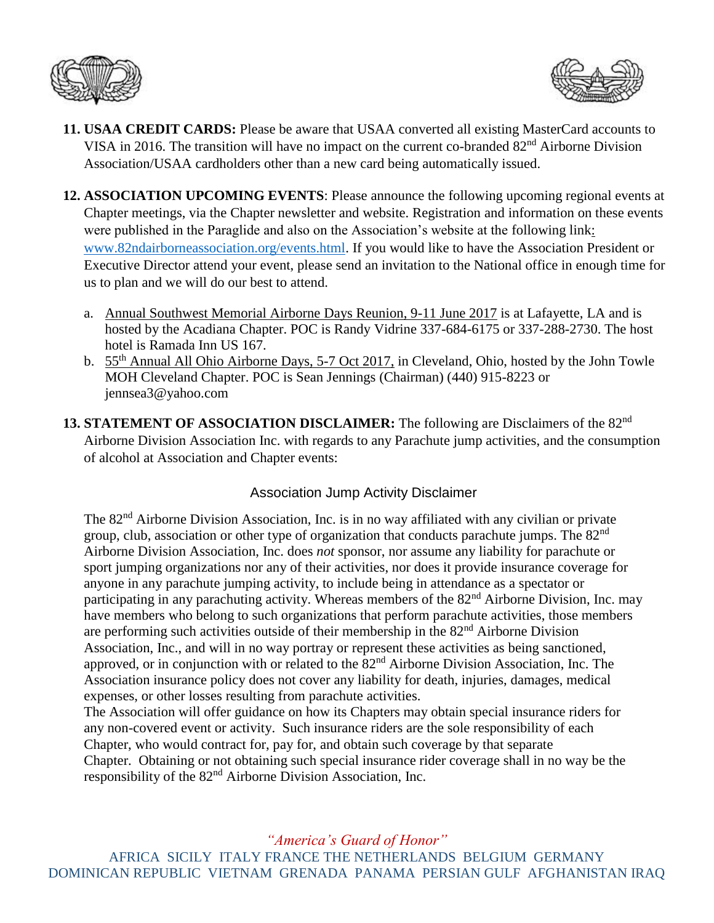



- **11. USAA CREDIT CARDS:** Please be aware that USAA converted all existing MasterCard accounts to VISA in 2016. The transition will have no impact on the current co-branded 82nd Airborne Division Association/USAA cardholders other than a new card being automatically issued.
- **12. ASSOCIATION UPCOMING EVENTS**: Please announce the following upcoming regional events at Chapter meetings, via the Chapter newsletter and website. Registration and information on these events were published in the Paraglide and also on the Association's website at the following link: [www.82ndairborneassociation.org/events.html.](http://www.82ndairborneassociation.org/events.html) If you would like to have the Association President or Executive Director attend your event, please send an invitation to the National office in enough time for us to plan and we will do our best to attend.
	- a. Annual Southwest Memorial Airborne Days Reunion, 9-11 June 2017 is at Lafayette, LA and is hosted by the Acadiana Chapter. POC is Randy Vidrine 337-684-6175 or 337-288-2730. The host hotel is Ramada Inn US 167.
	- b. 55th Annual All Ohio Airborne Days, 5-7 Oct 2017, in Cleveland, Ohio, hosted by the John Towle MOH Cleveland Chapter. POC is Sean Jennings (Chairman) (440) 915-8223 or jennsea3@yahoo.com
- **13. STATEMENT OF ASSOCIATION DISCLAIMER:** The following are Disclaimers of the 82nd Airborne Division Association Inc. with regards to any Parachute jump activities, and the consumption of alcohol at Association and Chapter events:

## Association Jump Activity Disclaimer

The 82<sup>nd</sup> Airborne Division Association, Inc. is in no way affiliated with any civilian or private group, club, association or other type of organization that conducts parachute jumps. The 82<sup>nd</sup> Airborne Division Association, Inc. does *not* sponsor, nor assume any liability for parachute or sport jumping organizations nor any of their activities, nor does it provide insurance coverage for anyone in any parachute jumping activity, to include being in attendance as a spectator or participating in any parachuting activity. Whereas members of the  $82<sup>nd</sup>$  Airborne Division, Inc. may have members who belong to such organizations that perform parachute activities, those members are performing such activities outside of their membership in the  $82<sup>nd</sup>$  Airborne Division Association, Inc., and will in no way portray or represent these activities as being sanctioned, approved, or in conjunction with or related to the 82nd Airborne Division Association, Inc. The Association insurance policy does not cover any liability for death, injuries, damages, medical expenses, or other losses resulting from parachute activities.

The Association will offer guidance on how its Chapters may obtain special insurance riders for any non-covered event or activity. Such insurance riders are the sole responsibility of each Chapter, who would contract for, pay for, and obtain such coverage by that separate Chapter. Obtaining or not obtaining such special insurance rider coverage shall in no way be the responsibility of the 82nd Airborne Division Association, Inc.

*"America's Guard of Honor"*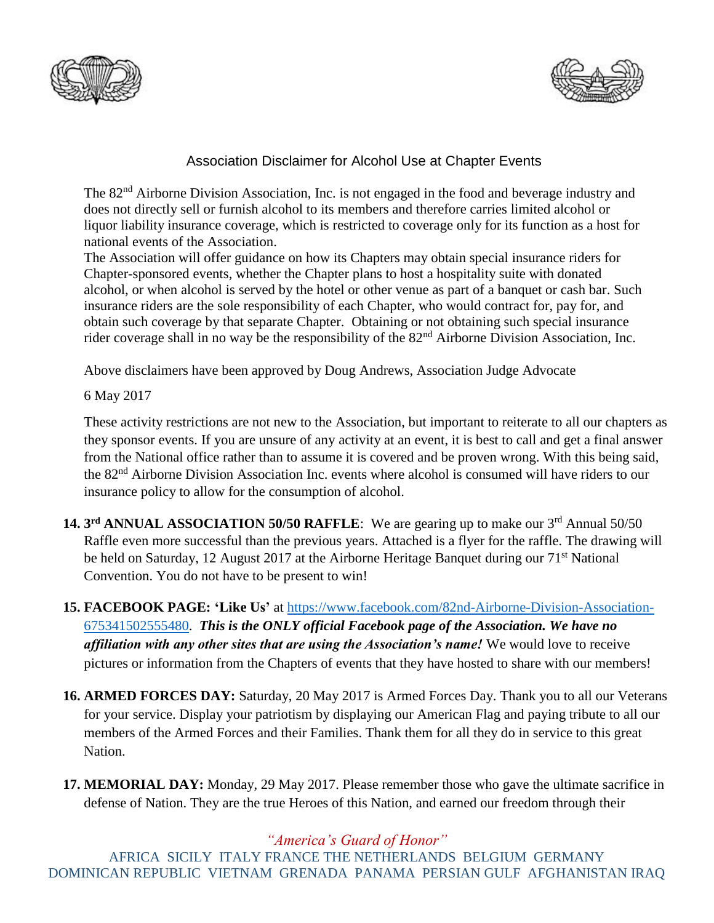



## Association Disclaimer for Alcohol Use at Chapter Events

The 82<sup>nd</sup> Airborne Division Association, Inc. is not engaged in the food and beverage industry and does not directly sell or furnish alcohol to its members and therefore carries limited alcohol or liquor liability insurance coverage, which is restricted to coverage only for its function as a host for national events of the Association.

The Association will offer guidance on how its Chapters may obtain special insurance riders for Chapter-sponsored events, whether the Chapter plans to host a hospitality suite with donated alcohol, or when alcohol is served by the hotel or other venue as part of a banquet or cash bar. Such insurance riders are the sole responsibility of each Chapter, who would contract for, pay for, and obtain such coverage by that separate Chapter. Obtaining or not obtaining such special insurance rider coverage shall in no way be the responsibility of the 82<sup>nd</sup> Airborne Division Association, Inc.

Above disclaimers have been approved by Doug Andrews, Association Judge Advocate

6 May 2017

These activity restrictions are not new to the Association, but important to reiterate to all our chapters as they sponsor events. If you are unsure of any activity at an event, it is best to call and get a final answer from the National office rather than to assume it is covered and be proven wrong. With this being said, the 82nd Airborne Division Association Inc. events where alcohol is consumed will have riders to our insurance policy to allow for the consumption of alcohol.

- 14. 3<sup>rd</sup> ANNUAL ASSOCIATION 50/50 RAFFLE: We are gearing up to make our 3<sup>rd</sup> Annual 50/50 Raffle even more successful than the previous years. Attached is a flyer for the raffle. The drawing will be held on Saturday, 12 August 2017 at the Airborne Heritage Banquet during our 71<sup>st</sup> National Convention. You do not have to be present to win!
- **15. FACEBOOK PAGE: 'Like Us'** at [https://www.facebook.com/82nd-Airborne-Division-Association-](https://www.facebook.com/82nd-Airborne-Division-Association-675341502555480)[675341502555480.](https://www.facebook.com/82nd-Airborne-Division-Association-675341502555480) *This is the ONLY official Facebook page of the Association. We have no affiliation with any other sites that are using the Association's name!* We would love to receive pictures or information from the Chapters of events that they have hosted to share with our members!
- **16. ARMED FORCES DAY:** Saturday, 20 May 2017 is Armed Forces Day. Thank you to all our Veterans for your service. Display your patriotism by displaying our American Flag and paying tribute to all our members of the Armed Forces and their Families. Thank them for all they do in service to this great Nation.
- **17. MEMORIAL DAY:** Monday, 29 May 2017. Please remember those who gave the ultimate sacrifice in defense of Nation. They are the true Heroes of this Nation, and earned our freedom through their

*"America's Guard of Honor"*